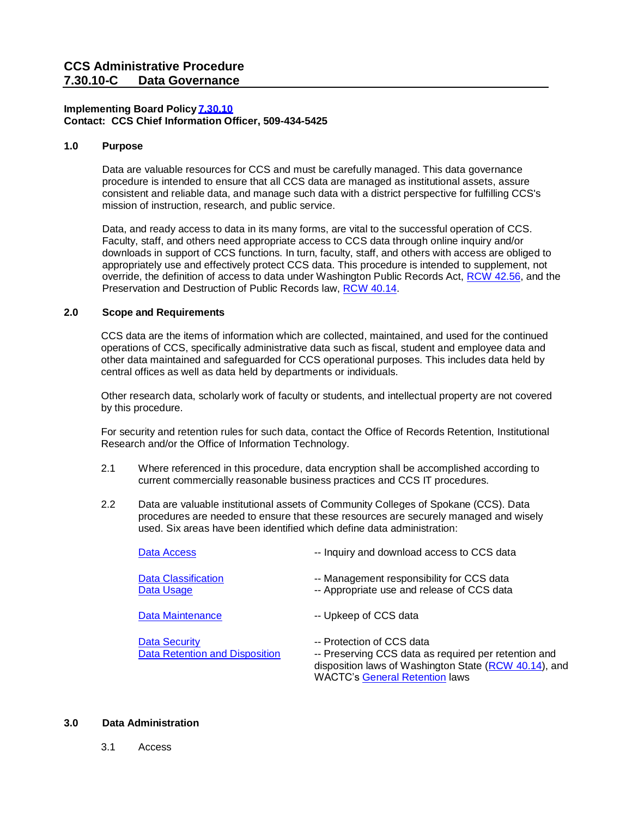# **Implementing Board Policy[7.30.10](https://ccs.spokane.edu/About-Us/Leadership/Board-of-Trustees/Policies-Procedures/Chapter7#AccWE2-5) Contact: CCS Chief Information Officer, 509-434-5425**

## **1.0 Purpose**

Data are valuable resources for CCS and must be carefully managed. This data governance procedure is intended to ensure that all CCS data are managed as institutional assets, assure consistent and reliable data, and manage such data with a district perspective for fulfilling CCS's mission of instruction, research, and public service.

Data, and ready access to data in its many forms, are vital to the successful operation of CCS. Faculty, staff, and others need appropriate access to CCS data through online inquiry and/or downloads in support of CCS functions. In turn, faculty, staff, and others with access are obliged to appropriately use and effectively protect CCS data. This procedure is intended to supplement, not override, the definition of access to data under Washington Public Records Act, [RCW 42.56,](http://apps.leg.wa.gov/RCW/default.aspx?cite=42.56) and the Preservation and Destruction of Public Records law, [RCW 40.14.](http://apps.leg.wa.gov/RCW/default.aspx?cite=40.14)

# **2.0 Scope and Requirements**

CCS data are the items of information which are collected, maintained, and used for the continued operations of CCS, specifically administrative data such as fiscal, student and employee data and other data maintained and safeguarded for CCS operational purposes. This includes data held by central offices as well as data held by departments or individuals.

Other research data, scholarly work of faculty or students, and intellectual property are not covered by this procedure.

For security and retention rules for such data, contact the Office of Records Retention, Institutional Research and/or the Office of Information Technology.

- 2.1 Where referenced in this procedure, data encryption shall be accomplished according to current commercially reasonable business practices and CCS IT procedures.
- 2.2 Data are valuable institutional assets of Community Colleges of Spokane (CCS). Data procedures are needed to ensure that these resources are securely managed and wisely used. Six areas have been identified which define data administration:

| Data Access                                     | -- Inquiry and download access to CCS data                                                                                                                                          |
|-------------------------------------------------|-------------------------------------------------------------------------------------------------------------------------------------------------------------------------------------|
| <b>Data Classification</b><br>Data Usage        | -- Management responsibility for CCS data<br>-- Appropriate use and release of CCS data                                                                                             |
| Data Maintenance                                | -- Upkeep of CCS data                                                                                                                                                               |
| Data Security<br>Data Retention and Disposition | -- Protection of CCS data<br>-- Preserving CCS data as required per retention and<br>disposition laws of Washington State (RCW 40.14), and<br><b>WACTC's General Retention laws</b> |

## <span id="page-0-0"></span>**3.0 Data Administration**

3.1 Access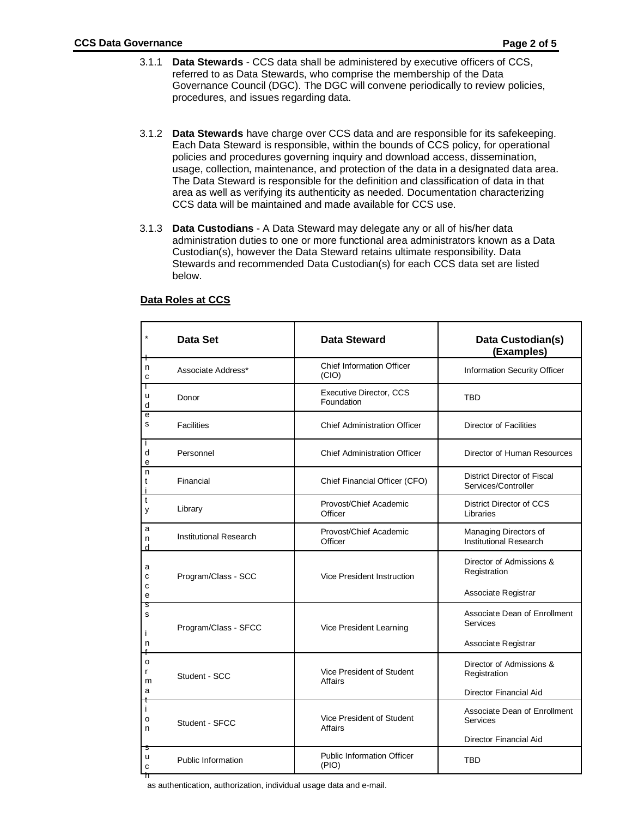- 3.1.1 **Data Stewards** CCS data shall be administered by executive officers of CCS, referred to as Data Stewards, who comprise the membership of the Data Governance Council (DGC). The DGC will convene periodically to review policies, procedures, and issues regarding data.
- 3.1.2 **Data Stewards** have charge over CCS data and are responsible for its safekeeping. Each Data Steward is responsible, within the bounds of CCS policy, for operational policies and procedures governing inquiry and download access, dissemination, usage, collection, maintenance, and protection of the data in a designated data area. The Data Steward is responsible for the definition and classification of data in that area as well as verifying its authenticity as needed. Documentation characterizing CCS data will be maintained and made available for CCS use.
- 3.1.3 **Data Custodians** A Data Steward may delegate any or all of his/her data administration duties to one or more functional area administrators known as a Data Custodian(s), however the Data Steward retains ultimate responsibility. Data Stewards and recommended Data Custodian(s) for each CCS data set are listed below.

| (Examples)                                         |
|----------------------------------------------------|
| Information Security Officer                       |
|                                                    |
| <b>Director of Facilities</b>                      |
| Director of Human Resources                        |
| District Director of Fiscal<br>Services/Controller |
| District Director of CCS                           |
| Managing Directors of<br>Institutional Research    |
| Director of Admissions &                           |
| Associate Registrar                                |
| Associate Dean of Enrollment                       |
| Associate Registrar                                |
| Director of Admissions &                           |
| Director Financial Aid                             |
| Associate Dean of Enrollment                       |
| Director Financial Aid                             |
|                                                    |
|                                                    |

## **Data Roles at CCS**

<span id="page-1-0"></span>as authentication, authorization, individual usage data and e-mail.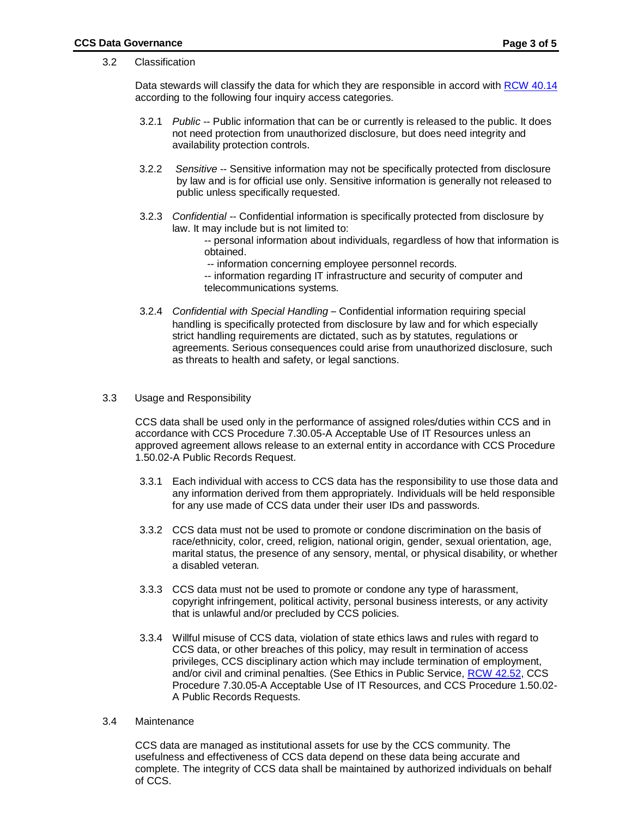### 3.2 Classification

Data stewards will classify the data for which they are responsible in accord with [RCW](http://app.leg.wa.gov/RCW/default.aspx?cite=40.14) 40.14 according to the following four inquiry access categories.

- 3.2.1 *Public* -- Public information that can be or currently is released to the public. It does not need protection from unauthorized disclosure, but does need integrity and availability protection controls.
- 3.2.2 *Sensitive* -- Sensitive information may not be specifically protected from disclosure by law and is for official use only. Sensitive information is generally not released to public unless specifically requested.
- 3.2.3 *Confidential* -- Confidential information is specifically protected from disclosure by law. It may include but is not limited to:
	- -- personal information about individuals, regardless of how that information is obtained.
	- -- information concerning employee personnel records.

-- information regarding IT infrastructure and security of computer and telecommunications systems.

- 3.2.4 *Confidential with Special Handling* Confidential information requiring special handling is specifically protected from disclosure by law and for which especially strict handling requirements are dictated, such as by statutes, regulations or agreements. Serious consequences could arise from unauthorized disclosure, such as threats to health and safety, or legal sanctions.
- <span id="page-2-0"></span>3.3 Usage and Responsibility

CCS data shall be used only in the performance of assigned roles/duties within CCS and in accordance with CCS Procedure 7.30.05-A Acceptable Use of IT Resources unless an approved agreement allows release to an external entity in accordance with CCS Procedure 1.50.02-A Public Records Request.

- 3.3.1 Each individual with access to CCS data has the responsibility to use those data and any information derived from them appropriately. Individuals will be held responsible for any use made of CCS data under their user IDs and passwords.
- 3.3.2 CCS data must not be used to promote or condone discrimination on the basis of race/ethnicity, color, creed, religion, national origin, gender, sexual orientation, age, marital status, the presence of any sensory, mental, or physical disability, or whether a disabled veteran.
- 3.3.3 CCS data must not be used to promote or condone any type of harassment, copyright infringement, political activity, personal business interests, or any activity that is unlawful and/or precluded by CCS policies.
- <span id="page-2-1"></span>3.3.4 Willful misuse of CCS data, violation of state ethics laws and rules with regard to CCS data, or other breaches of this policy, may result in termination of access privileges, CCS disciplinary action which may include termination of employment, and/or civil and criminal penalties. (See Ethics in Public Service, [RCW 42.52,](http://apps.leg.wa.gov/RCW/default.aspx?cite=42.52) CCS Procedure 7.30.05-A Acceptable Use of IT Resources, and CCS Procedure 1.50.02- A Public Records Requests.
- 3.4 Maintenance

CCS data are managed as institutional assets for use by the CCS community. The usefulness and effectiveness of CCS data depend on these data being accurate and complete. The integrity of CCS data shall be maintained by authorized individuals on behalf of CCS.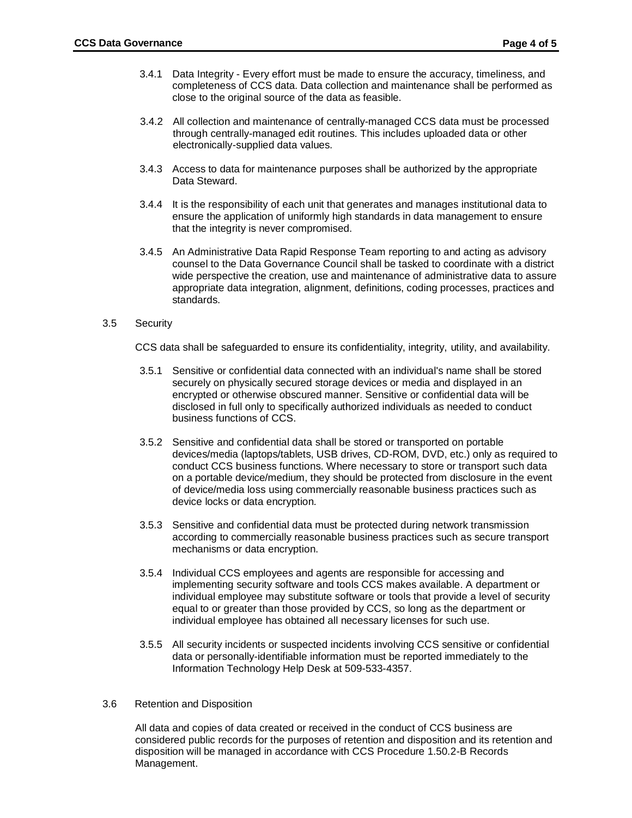- 3.4.1 Data Integrity Every effort must be made to ensure the accuracy, timeliness, and completeness of CCS data. Data collection and maintenance shall be performed as close to the original source of the data as feasible.
- 3.4.2 All collection and maintenance of centrally-managed CCS data must be processed through centrally-managed edit routines. This includes uploaded data or other electronically-supplied data values.
- 3.4.3 Access to data for maintenance purposes shall be authorized by the appropriate Data Steward.
- 3.4.4 It is the responsibility of each unit that generates and manages institutional data to ensure the application of uniformly high standards in data management to ensure that the integrity is never compromised.
- 3.4.5 An Administrative Data Rapid Response Team reporting to and acting as advisory counsel to the Data Governance Council shall be tasked to coordinate with a district wide perspective the creation, use and maintenance of administrative data to assure appropriate data integration, alignment, definitions, coding processes, practices and standards.

## <span id="page-3-0"></span>3.5 Security

CCS data shall be safeguarded to ensure its confidentiality, integrity, utility, and availability.

- 3.5.1 Sensitive or confidential data connected with an individual's name shall be stored securely on physically secured storage devices or media and displayed in an encrypted or otherwise obscured manner. Sensitive or confidential data will be disclosed in full only to specifically authorized individuals as needed to conduct business functions of CCS.
- 3.5.2 Sensitive and confidential data shall be stored or transported on portable devices/media (laptops/tablets, USB drives, CD-ROM, DVD, etc.) only as required to conduct CCS business functions. Where necessary to store or transport such data on a portable device/medium, they should be protected from disclosure in the event of device/media loss using commercially reasonable business practices such as device locks or data encryption.
- 3.5.3 Sensitive and confidential data must be protected during network transmission according to commercially reasonable business practices such as secure transport mechanisms or data encryption.
- 3.5.4 Individual CCS employees and agents are responsible for accessing and implementing security software and tools CCS makes available. A department or individual employee may substitute software or tools that provide a level of security equal to or greater than those provided by CCS, so long as the department or individual employee has obtained all necessary licenses for such use.
- 3.5.5 All security incidents or suspected incidents involving CCS sensitive or confidential data or personally-identifiable information must be reported immediately to the Information Technology Help Desk at 509-533-4357.

## <span id="page-3-1"></span>3.6 Retention and Disposition

All data and copies of data created or received in the conduct of CCS business are considered public records for the purposes of retention and disposition and its retention and disposition will be managed in accordance with CCS Procedure 1.50.2-B Records Management.